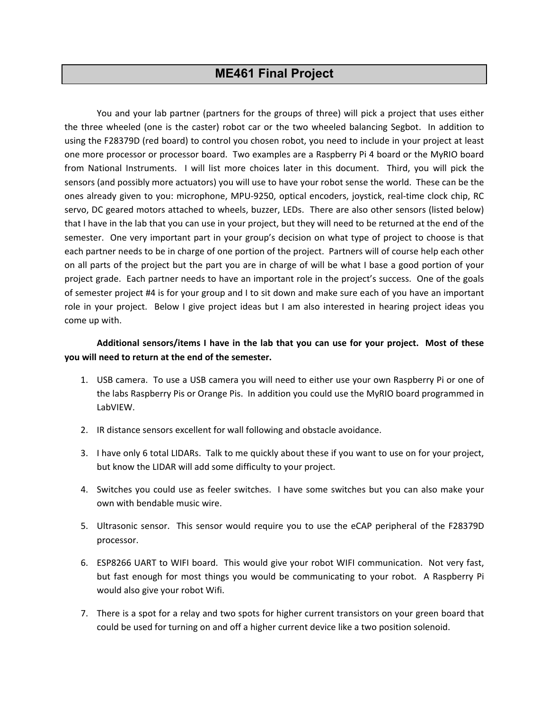# **ME461 Final Project**

You and your lab partner (partners for the groups of three) will pick a project that uses either the three wheeled (one is the caster) robot car or the two wheeled balancing Segbot. In addition to using the F28379D (red board) to control you chosen robot, you need to include in your project at least one more processor or processor board. Two examples are a Raspberry Pi 4 board or the MyRIO board from National Instruments. I will list more choices later in this document. Third, you will pick the sensors (and possibly more actuators) you will use to have your robot sense the world. These can be the ones already given to you: microphone, MPU-9250, optical encoders, joystick, real-time clock chip, RC servo, DC geared motors attached to wheels, buzzer, LEDs. There are also other sensors (listed below) that I have in the lab that you can use in your project, but they will need to be returned at the end of the semester. One very important part in your group's decision on what type of project to choose is that each partner needs to be in charge of one portion of the project. Partners will of course help each other on all parts of the project but the part you are in charge of will be what I base a good portion of your project grade. Each partner needs to have an important role in the project's success. One of the goals of semester project #4 is for your group and I to sit down and make sure each of you have an important role in your project. Below I give project ideas but I am also interested in hearing project ideas you come up with.

# **Additional sensors/items I have in the lab that you can use for your project. Most of these you will need to return at the end of the semester.**

- 1. USB camera. To use a USB camera you will need to either use your own Raspberry Pi or one of the labs Raspberry Pis or Orange Pis. In addition you could use the MyRIO board programmed in LabVIEW.
- 2. IR distance sensors excellent for wall following and obstacle avoidance.
- 3. I have only 6 total LIDARs. Talk to me quickly about these if you want to use on for your project, but know the LIDAR will add some difficulty to your project.
- 4. Switches you could use as feeler switches. I have some switches but you can also make your own with bendable music wire.
- 5. Ultrasonic sensor. This sensor would require you to use the eCAP peripheral of the F28379D processor.
- 6. ESP8266 UART to WIFI board. This would give your robot WIFI communication. Not very fast, but fast enough for most things you would be communicating to your robot. A Raspberry Pi would also give your robot Wifi.
- 7. There is a spot for a relay and two spots for higher current transistors on your green board that could be used for turning on and off a higher current device like a two position solenoid.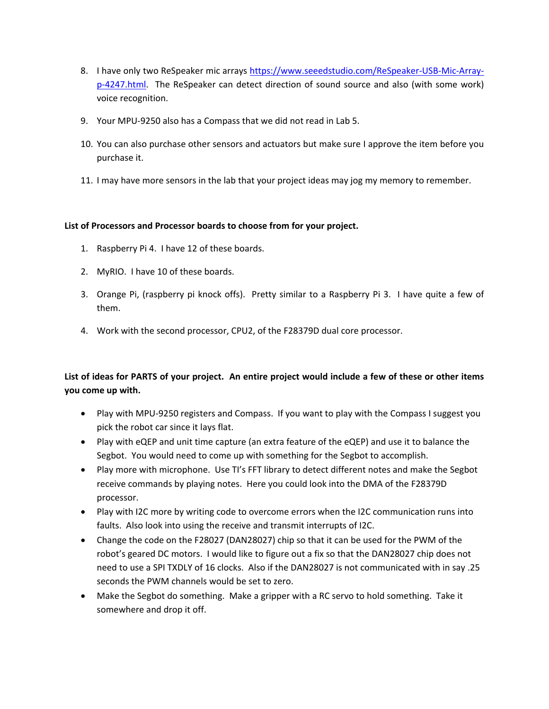- 8. I have only two ReSpeaker mic arrays [https://www.seeedstudio.com/ReSpeaker-USB-Mic-Array](https://www.seeedstudio.com/ReSpeaker-USB-Mic-Array-p-4247.html)[p-4247.html.](https://www.seeedstudio.com/ReSpeaker-USB-Mic-Array-p-4247.html) The ReSpeaker can detect direction of sound source and also (with some work) voice recognition.
- 9. Your MPU-9250 also has a Compass that we did not read in Lab 5.
- 10. You can also purchase other sensors and actuators but make sure I approve the item before you purchase it.
- 11. I may have more sensors in the lab that your project ideas may jog my memory to remember.

#### **List of Processors and Processor boards to choose from for your project.**

- 1. Raspberry Pi 4. I have 12 of these boards.
- 2. MyRIO. I have 10 of these boards.
- 3. Orange Pi, (raspberry pi knock offs). Pretty similar to a Raspberry Pi 3. I have quite a few of them.
- 4. Work with the second processor, CPU2, of the F28379D dual core processor.

# **List of ideas for PARTS of your project. An entire project would include a few of these or other items you come up with.**

- Play with MPU-9250 registers and Compass. If you want to play with the Compass I suggest you pick the robot car since it lays flat.
- Play with eQEP and unit time capture (an extra feature of the eQEP) and use it to balance the Segbot. You would need to come up with something for the Segbot to accomplish.
- Play more with microphone. Use TI's FFT library to detect different notes and make the Segbot receive commands by playing notes. Here you could look into the DMA of the F28379D processor.
- Play with I2C more by writing code to overcome errors when the I2C communication runs into faults. Also look into using the receive and transmit interrupts of I2C.
- Change the code on the F28027 (DAN28027) chip so that it can be used for the PWM of the robot's geared DC motors. I would like to figure out a fix so that the DAN28027 chip does not need to use a SPI TXDLY of 16 clocks. Also if the DAN28027 is not communicated with in say .25 seconds the PWM channels would be set to zero.
- Make the Segbot do something. Make a gripper with a RC servo to hold something. Take it somewhere and drop it off.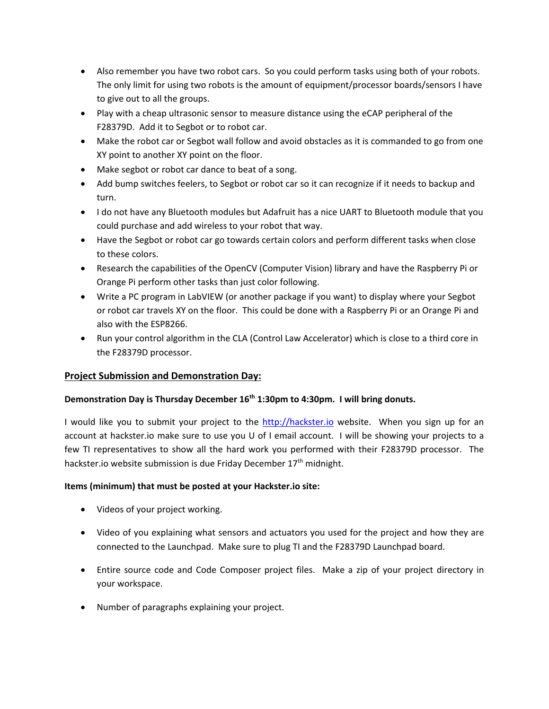- Also remember you have two robot cars. So you could perform tasks using both of your robots. The only limit for using two robots is the amount of equipment/processor boards/sensors I have to give out to all the groups.
- Play with a cheap ultrasonic sensor to measure distance using the eCAP peripheral of the F28379D. Add it to Segbot or to robot car.
- Make the robot car or Segbot wall follow and avoid obstacles as it is commanded to go from one XY point to another XY point on the floor.
- Make segbot or robot car dance to beat of a song.
- Add bump switches feelers, to Segbot or robot car so it can recognize if it needs to backup and turn.
- I do not have any Bluetooth modules but Adafruit has a nice UART to Bluetooth module that you could purchase and add wireless to your robot that way.
- Have the Segbot or robot car go towards certain colors and perform different tasks when close to these colors.
- Research the capabilities of the OpenCV (Computer Vision) library and have the Raspberry Pi or Orange Pi perform other tasks than just color following.
- Write a PC program in LabVIEW (or another package if you want) to display where your Segbot or robot car travels XY on the floor. This could be done with a Raspberry Pi or an Orange Pi and also with the ESP8266.
- Run your control algorithm in the CLA (Control Law Accelerator) which is close to a third core in the F28379D processor.

# **Project Submission and Demonstration Day:**

#### **Demonstration Day is Thursday December 16th 1:30pm to 4:30pm. I will bring donuts.**

I would like you to submit your project to the [http://hackster.io](http://hackster.io/) website. When you sign up for an account at hackster.io make sure to use you U of I email account. I will be showing your projects to a few TI representatives to show all the hard work you performed with their F28379D processor. The hackster.io website submission is due Friday December 17<sup>th</sup> midnight.

#### **Items (minimum) that must be posted at your Hackster.io site:**

- Videos of your project working.
- Video of you explaining what sensors and actuators you used for the project and how they are connected to the Launchpad. Make sure to plug TI and the F28379D Launchpad board.
- Entire source code and Code Composer project files. Make a zip of your project directory in your workspace.
- Number of paragraphs explaining your project.